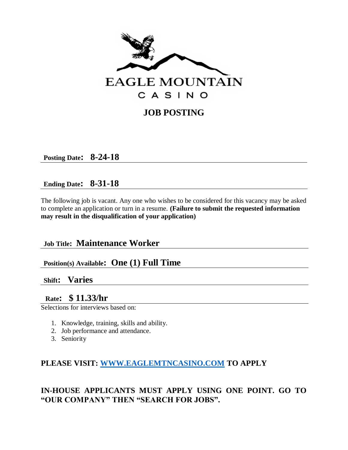

# **JOB POSTING**

**Posting Date: 8-24-18**

# **Ending Date: 8-31-18**

The following job is vacant. Any one who wishes to be considered for this vacancy may be asked to complete an application or turn in a resume. **(Failure to submit the requested information may result in the disqualification of your application)**

# **Job Title: Maintenance Worker**

# **Position(s) Available: One (1) Full Time**

### **Shift: Varies**

# **Rate: \$ 11.33/hr**

Selections for interviews based on:

- 1. Knowledge, training, skills and ability.
- 2. Job performance and attendance.
- 3. Seniority

### **PLEASE VISIT: [WWW.EAGLEMTNCASINO.COM](http://www.eaglemtncasino.com/) TO APPLY**

# **IN-HOUSE APPLICANTS MUST APPLY USING ONE POINT. GO TO "OUR COMPANY" THEN "SEARCH FOR JOBS".**